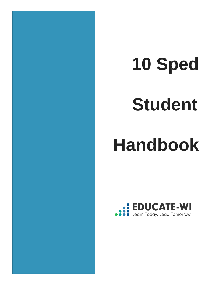# **10 Sped**

# **Student**

## **Handbook**

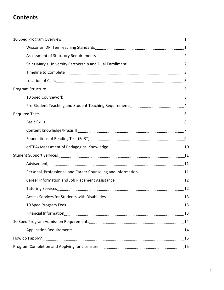## **Contents**

| Student Support Services [111] 11 All and Student Support Services [11] All and Student Support Services [11] All and Student Support Services [11] All and Student Support Services [11] All and Student Student Support Serv |  |
|--------------------------------------------------------------------------------------------------------------------------------------------------------------------------------------------------------------------------------|--|
|                                                                                                                                                                                                                                |  |
|                                                                                                                                                                                                                                |  |
|                                                                                                                                                                                                                                |  |
|                                                                                                                                                                                                                                |  |
|                                                                                                                                                                                                                                |  |
|                                                                                                                                                                                                                                |  |
|                                                                                                                                                                                                                                |  |
|                                                                                                                                                                                                                                |  |
|                                                                                                                                                                                                                                |  |
|                                                                                                                                                                                                                                |  |
|                                                                                                                                                                                                                                |  |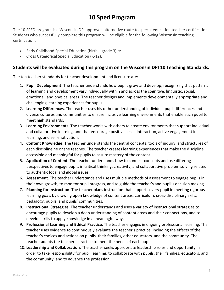## **10 Sped Program**

The 10 SPED program is a Wisconsin DPI approved alternative route to special education teacher certification. Students who successfully complete this program will be eligible for the following Wisconsin teaching certification:

- Early Childhood Special Education (birth grade 3) *or*
- Cross Categorical Special Education (K-12).

#### **Students will be evaluated during this program on the Wisconsin DPI 10 Teaching Standards.**

The ten teacher standards for teacher development and licensure are:

- 1. **Pupil Development**. The teacher understands how pupils grow and develop, recognizing that patterns of learning and development vary individually within and across the cognitive, linguistic, social, emotional, and physical areas. The teacher designs and implements developmentally appropriate and challenging learning experiences for pupils.
- 2. **Learning Differences**. The teacher uses his or her understanding of individual pupil differences and diverse cultures and communities to ensure inclusive learning environments that enable each pupil to meet high standards.
- 3. **Learning Environments**. The teacher works with others to create environments that support individual and collaborative learning, and that encourage positive social interaction, active engagement in learning, and self-motivation.
- 4. **Content Knowledge**. The teacher understands the central concepts, tools of inquiry, and structures of each discipline he or she teaches. The teacher creates learning experiences that make the discipline accessible and meaningful for pupils to assure mastery of the content.
- 5. **Application of Content**. The teacher understands how to connect concepts and use differing perspectives to engage pupils in critical thinking, creativity, and collaborative problem solving related to authentic local and global issues.
- 6. **Assessment**. The teacher understands and uses multiple methods of assessment to engage pupils in their own growth, to monitor pupil progress, and to guide the teacher's and pupil's decision making.
- 7. **Planning for Instruction**. The teacher plans instruction that supports every pupil in meeting rigorous learning goals by drawing upon knowledge of content areas, curriculum, cross-disciplinary skills, pedagogy, pupils, and pupils' communities.
- 8. **Instructional Strategies**. The teacher understands and uses a variety of instructional strategies to encourage pupils to develop a deep understanding of content areas and their connections, and to develop skills to apply knowledge in a meaningful way.
- 9. **Professional Learning and Ethical Practice**. The teacher engages in ongoing professional learning. The teacher uses evidence to continuously evaluate the teacher's practice, including the effects of the teacher's choices and actions on pupils, their families, other educators, and the community. The teacher adapts the teacher's practice to meet the needs of each pupil.
- 10. **Leadership and Collaboration**. The teacher seeks appropriate leadership roles and opportunity in order to take responsibility for pupil learning, to collaborate with pupils, their families, educators, and the community, and to advance the profession.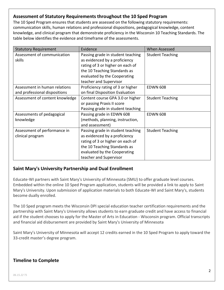## **Assessment of Statutory Requirements throughout the 10 Sped Program**

The 10 Sped Program ensures that students are assessed on the following statutory requirements: communication skills, human relations and professional dispositions, pedagogical knowledge, content knowledge, and clinical program that demonstrate proficiency in the Wisconsin 10 Teaching Standards. The table below identifies the evidence and timeframe of the assessments.

| <b>Statutory Requirement</b>          | Evidence                                                         | <b>When Assessed</b>    |
|---------------------------------------|------------------------------------------------------------------|-------------------------|
| Assessment of communication<br>skills | Passing grade in student teaching                                | <b>Student Teaching</b> |
|                                       | as evidenced by a proficiency                                    |                         |
|                                       | rating of 3 or higher on each of<br>the 10 Teaching Standards as |                         |
|                                       | evaluated by the Cooperating                                     |                         |
|                                       | teacher and Supervisor                                           |                         |
| Assessment in human relations         | Proficiency rating of 3 or higher                                | <b>EDWN 608</b>         |
| and professional dispositions         | on final Disposition Evaluation                                  |                         |
| Assessment of content knowledge       | Content course GPA 3.0 or higher                                 | <b>Student Teaching</b> |
|                                       | or passing Praxis II score                                       |                         |
|                                       | Passing grade in student teaching                                |                         |
| Assessments of pedagogical            | Passing grade in EDWN 608                                        | <b>EDWN 608</b>         |
| knowledge                             | (methods, planning, instruction,                                 |                         |
|                                       | and assessment)                                                  |                         |
| Assessment of performance in          | Passing grade in student teaching                                | <b>Student Teaching</b> |
|                                       |                                                                  |                         |
| clinical program                      | as evidenced by a proficiency                                    |                         |
|                                       | rating of 3 or higher on each of                                 |                         |
|                                       | the 10 Teaching Standards as                                     |                         |
|                                       | evaluated by the Cooperating                                     |                         |
|                                       | teacher and Supervisor                                           |                         |

## **Saint Mary's University Partnership and Dual Enrollment**

Educate-WI partners with Saint Mary's University of Minnesota (SMU) to offer graduate level courses. Embedded within the online 10 Sped Program application, students will be provided a link to apply to Saint Mary's University. Upon submission of application materials to both Educate-WI and Saint Mary's, students become dually enrolled.

The 10 Sped program meets the Wisconsin DPI special education teacher certification requirements and the partnership with Saint Mary's University allows students to earn graduate credit and have access to financial aid if the student chooses to apply for the Master of Arts in Education - Wisconsin program. Official transcripts and financial aid disbursement are provided by Saint Mary's University of Minnesota

Saint Mary's University of Minnesota will accept 12 credits earned in the 10 Sped Program to apply toward the 33-credit master's degree program.

## **Timeline to Complete**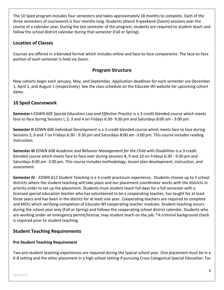The 10 Sped program includes four semesters and takes approximately 18 months to complete. Each of the three semesters of coursework is four months long. Students attend 9-weekend (Zoom) sessions over the course of a calendar year. During the last semester of the program, students are required to student teach and follow the school district calendar during that semester (Fall or Spring).

## **Location of Classes**

Courses are offered in a blended format which includes online and face-to-face components. The face-to-face portion of each semester is held via Zoom.

## **Program Structure**

New cohorts begin each January, May, and September. Application deadlines for each semester are December 1, April 1, and August 1 (respectively). [See the class schedule on the Educate-WI website for upcoming cohort](https://www.educate-wi.com/content/programs/10sped/calendar)  [dates.](https://www.educate-wi.com/content/programs/10sped/calendar)

## **10 Sped Coursework**

**Semester I** *EDWN 605 Special Education Law and Effective Practice* is a 3-credit blended course which meets face to face during Sessions I, 2, 3 and 4 on Fridays 6:30- 9:30 pm and Saturdays 8:00 am - 3:00 pm.

**Semester II** *EDWN 606 Individual Development* is a 3-credit blended course which meets face to face during Sessions 5, 6 and 7 on Fridays 6:30 - 9:30 pm and Saturdays 8:00 am -3:00 pm. This course includes reading instruction.

**Semester III** *EDWN 608 Academic and Behavior Management for the Child with Disabilities* is a 3-credit blended course which meets face to face over during sessions 8, 9 and 10 on Fridays 6:30 - 9:30 pm and Saturdays 8:00 am -3:00 pm. This course includes methodology, lesson plan development, instruction, and assessment.

**Semester IV** - *EDWN 612 Student Teaching* is a 3-credit practicum experience. Students choose up to 3 school districts where the student teaching will take place and our placement coordinator works with the districts in priority order to set up the placement. Students must student teach full days for a full semester with a licensed special education teacher who has volunteered to be a cooperating teacher, has taught for at least three years and has been in the district for at least one year. Cooperating teachers are required to complete and MOU which verifying completion of Educate-WI cooperating teacher modules. Student teaching occurs during the school year only (Fall or Spring) and follows the cooperating school district calendar. Students who are working under an emergency permit/license, may student teach on the job. \*A criminal background check is required prior to student teaching.

## **Student Teaching Requirements**

#### **Pre-Student Teaching Requirement**

Two pre-student teaching experiences are required during the typical school year. One placement must be in a K-8 setting and the other placement in a high school setting if pursuing Cross Categorical Special Education. For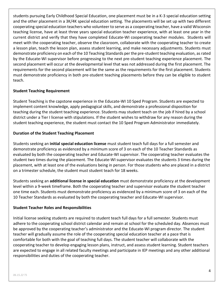students pursuing Early Childhood Special Education, one placement must be in a K-3 special education setting and the other placement in a 3K/4K special education setting. The placements will be set up with two different cooperating special education teachers who volunteer to serve as a cooperating teacher, have a valid Wisconsin teaching license, have at least three years special education teacher experience, with at least one year in the current district and verify that they have completed Educate-WI cooperating teacher modules. Students will meet with the cooperating teacher, observe the classroom, collaborate with the cooperating teacher to create a lesson plan, teach the lesson plan, assess student learning, and make necessary adjustments. Students must demonstrate proficiency on each of the 10 Teaching Standards per the pre-student teaching evaluation, as rated by the Educate-WI supervisor before progressing to the next pre-student teaching experience placement. The second placement will occur at the developmental level that was not addressed during the first placement. The requirements for the second placement will be the same as the requirements for the first placement. Students must demonstrate proficiency in both pre-student teaching placements before they can be eligible to student teach.

#### **Student Teaching Requirement**

Student Teaching is the capstone experience in the Educate-WI 10 Sped Program. Students are expected to implement content knowledge, apply pedagogical skills, and demonstrate a professional disposition for teaching during the student teaching experience. Students may student teach on the job if hired by a school district under a Tier I license with stipulations. If the student wishes to withdraw for any reason during the student teaching experience, the student must contact the 10 Sped Program Administrator immediately.

#### **Duration of the Student Teaching Placement**

Students seeking an **initial special education license** must student teach full days for a full semester and demonstrate proficiency as evidenced by a minimum score of 3 on each of the 10 Teacher Standards as evaluated by both the cooperating teacher and Educate-WI supervisor. The cooperating teacher evaluates the student two times during the placement. The Educate-WI supervisor evaluates the students 3 times during the placement, with at least one of the evaluations being in person. For those students who are placed in a district on a trimester schedule, the student must student teach for 18 weeks.

Students seeking an **additional license in special education** must demonstrate proficiency at the development level within a 9-week timeframe. Both the cooperating teacher and supervisor evaluate the student teacher one time each. Students must demonstrate proficiency as evidenced by a minimum score of 3 on each of the 10 Teacher Standards as evaluated by both the cooperating teacher and Educate-WI supervisor.

#### **Student Teacher Roles and Responsibilities**

Initial license seeking students are required to student teach full days for a full semester. Students must adhere to the cooperating school district calendar and remain at school for the scheduled day. Absences must be approved by the cooperating teacher's administrator and the Educate-WI program director. The student teacher will gradually assume the role of the cooperating special education teacher at a pace that is comfortable for both with the goal of teaching full days. The student teacher will collaborate with the cooperating teacher to develop engaging lesson plans, instruct, and assess student learning. Student teachers are expected to engage in all related faculty meetings and participate in IEP meetings and any other additional responsibilities and duties of the cooperating teacher.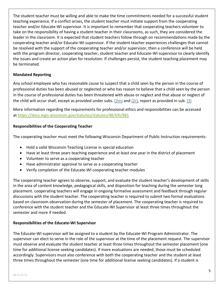The student teacher must be willing and able to make the time commitments needed for a successful student teaching experience. If a conflict arises, the student teacher must initiate support from the cooperating teacher and/or Educate-WI supervisor. It is important to remember that cooperating teachers volunteer to take on the responsibility of having a student teacher in their classrooms, as such, they are considered the leader in the classroom. It is expected that student teachers follow through on recommendations made by the cooperating teacher and/or Educate-WI supervisor. If the student teacher experiences challenges that cannot be resolved with the support of the cooperating teacher and/or supervisor, then a conference will be held with the program director, cooperating teacher, student teacher and Educate-WI supervisor to clearly identify the issues and create an action plan for resolution. If challenges persist, the student teaching placement may be terminated.

#### **Mandated Reporting**

Any school employee who has reasonable cause to suspect that a child seen by the person in the course of professional duties has been abused or neglected or who has reason to believe that a child seen by the person in the course of professional duties has been threatened with abuse or neglect and that abuse or neglect of the child will occur shall, except as provided under subs. [\(2m\)](https://docs.legis.wisconsin.gov/document/statutes/48.981(2m)) and [\(2r\),](https://docs.legis.wisconsin.gov/document/statutes/48.981(2r)) report as provided in sub. [\(3\)](https://docs.legis.wisconsin.gov/document/statutes/48.981(3))

More information regarding the requirements for professional ethics and responsibilities can be accessed at <https://docs.legis.wisconsin.gov/statutes/statutes/48/XXI/981>

#### **Responsibilities of the Cooperating Teacher**

The cooperating teacher must meet the following Wisconsin Department of Public Instruction requirements:

- Hold a valid Wisconsin Teaching License in special education
- Have at least three years teaching experience and at least one year in the district of placement
- Volunteer to serve as a cooperating teacher
- Have administrator approval to serve as a cooperating teacher
- Verify completion of the Educate-WI cooperating teacher modules

The cooperating teacher agrees to observe, support, and evaluate the student teacher's development of skills in the area of content knowledge, pedagogical skills, and disposition for teaching during the semester long placement. cooperating teachers will engage in ongoing formative assessment and feedback through regular discussions with the student teacher. The cooperating teacher is required to submit two formal evaluations based on classroom observation during the semester of placement. The cooperating teacher is required to conference with the student teacher and the Educate-WI Supervisor at least three times throughout the semester and more if needed.

#### **Responsibilities of the Educate-WI Supervisor**

The Educate-WI supervisor will be assigned to a student by the Educate-WI Program Administrator. The supervisor can elect to serve in the role of the supervisor at the time of the placement request. The supervisor must observe and evaluate the student teacher at least three times throughout the semester placement (one time for additional license seeking candidates). If more evaluations are needed, those must be scheduled accordingly. Supervisors must also conference with both the cooperating teacher and the student at least three times throughout the semester (one time for additional license seeking candidates). If a student is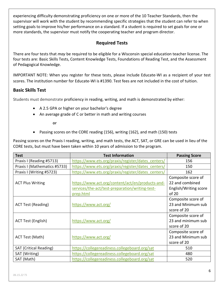experiencing difficulty demonstrating proficiency on one or more of the 10 Teacher Standards, then the supervisor will work with the student by recommending specific strategies that the student can refer to when setting goals to improve his/her performance on a standard. If a student is required to set goals for one or more standards, the supervisor must notify the cooperating teacher and program director.

## **Required Tests**

There are four tests that *may* be required to be eligible for a Wisconsin special education teacher license. The four tests are: Basic Skills Tests, Content Knowledge Tests, Foundations of Reading Test, and the Assessment of Pedagogical Knowledge.

IMPORTANT NOTE: When you register for these tests, please include Educate-WI as a recipient of your test scores. The institution number for Educate-WI is #1390. Test fees are not included in the cost of tuition.

## **Basic Skills Test**

Students must demonstrate proficiency in reading, writing, and math is demonstrated by either:

- A 2.5 GPA or higher on your bachelor's degree
- An average grade of C or better in math and writing courses

**or**

• Passing scores on the CORE reading (156), writing (162), and math (150) tests

Passing scores on the Praxis I reading, writing, and math tests, the ACT, SAT, or GRE can be used in lieu of the CORE tests, but must have been taken within 10 years of admission to the program.

| <b>Test</b>                   | <b>Test Information</b>                            | <b>Passing Score</b>  |
|-------------------------------|----------------------------------------------------|-----------------------|
| Praxis I (Reading #5713)      | https://www.ets.org/praxis/register/dates_centers/ | 156                   |
| Praxis I (Mathematics #5733)  | https://www.ets.org/praxis/register/dates_centers/ | 150                   |
| Praxis I (Writing #5723)      | https://www.ets.org/praxis/register/dates_centers/ | 162                   |
|                               |                                                    | Composite score of    |
| <b>ACT Plus Writing</b>       | https://www.act.org/content/act/en/products-and-   | 22 and combined       |
|                               | services/the-act/test-preparation/writing-test-    | English/Writing score |
|                               | prep.html                                          | of 20                 |
|                               |                                                    | Composite score of    |
| <b>ACT Test (Reading)</b>     | https://www.act.org/                               | 23 and Minimum sub    |
|                               |                                                    | score of 20           |
|                               |                                                    | Composite score of    |
| <b>ACT Test (English)</b>     | https://www.act.org/                               | 23 and minimum sub    |
|                               |                                                    | score of 20           |
|                               |                                                    | Composite score of    |
| ACT Test (Math)               | https://www.act.org/                               | 23 and Minimum sub    |
|                               |                                                    | score of 20           |
| <b>SAT (Critical Reading)</b> | https://collegereadiness.collegeboard.org/sat      | 510                   |
| SAT (Writing)                 | https://collegereadiness.collegeboard.org/sat      | 480                   |
| SAT (Math)                    | https://collegereadiness.collegeboard.org/sat      | 520                   |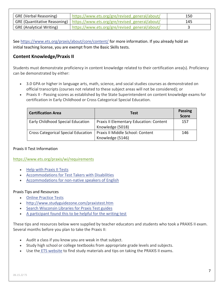| GRE (Verbal Reasoning)          | https://www.ets.org/gre/revised general/about/                                | 150 |
|---------------------------------|-------------------------------------------------------------------------------|-----|
|                                 | GRE (Quantitative Reasoning)   https://www.ets.org/gre/revised general/about/ | 145 |
| <b>GRE (Analytical Writing)</b> | https://www.ets.org/gre/revised general/about/                                |     |

See <https://www.ets.org/praxis/about/core/content/> for more information. If you already hold an initial teaching license, you are exempt from the Basic Skills tests.

## **Content Knowledge/Praxis II**

Students must demonstrate proficiency in content knowledge related to their certification area(s). Proficiency can be demonstrated by either:

- 3.0 GPA or higher in language arts, math, science, and social studies courses as demonstrated on official transcripts (courses not related to these subject areas will not be considered); or
- Praxis II Passing scores as established by the State Superintendent on content knowledge exams for certification in Early Childhood or Cross Categorical Special Education.

| <b>Certification Area</b>                  | <b>Test</b>                                                        | <b>Passing</b><br><b>Score</b> |
|--------------------------------------------|--------------------------------------------------------------------|--------------------------------|
| <b>Early Childhood Special Education</b>   | <b>Praxis II Elementary Education: Content</b><br>Knowledge (5018) | 157                            |
| <b>Cross Categorical Special Education</b> | Praxis II Middle School: Content<br>Knowledge (5146)               | 146                            |

#### Praxis II Test Information

#### <https://www.ets.org/praxis/wi/requirements>

- Help with [Praxis II Tests](https://www.ets.org/praxis/prepare/tips/)
- [Accommodations for Test Takers with Disabilities](http://www.ets.org/praxis/prxdsabl.html)
- [Accommodations for non-native speakers of English](https://www.ets.org/praxis/register/plne_accommodations/)

#### Praxis Tips and Resources

- [Online Practice Tests](http://www.testprepreview.com/praxis_practice.htm)
- <http://www.studyguidezone.com/praxistest.htm>
- [Search Wisconsin Libraries for Praxis Test guides](http://www.wiscat.net/)
- [A participant found this to be helpful for the writing test](https://sat.collegeboard.org/practice/sat-practice-questions-writing/sentence-errors)

These tips and resources below were supplied by teacher educators and students who took a PRAXIS II exam. Several months before you plan to take the Praxis II:

- Audit a class if you know you are weak in that subject.
- Study high school or college textbooks from appropriate grade levels and subjects.
- Use the [ETS website](http://ets.org/portal/site/ets/menuitem.c988ba0e5dd572bada20bc47c3921509/?vgnextoid=318baf5e44df4010VgnVCM10000022f95190RCRD&vgnextchannel=d378197a484f4010VgnVCM10000022f95190RCRD) to find study materials and tips on taking the PRAXIS II exams.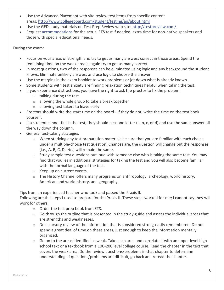- Use the Advanced Placement web site review test items from specific content areas: <http://www.collegeboard.com/student/testing/ap/about.html>
- Use the GED study materials on Test Prep Review web site: <http://testpreview.com/>
- Request [accommodations](http://www.ets.org/portal/site/ets/menuitem.1488512ecfd5b8849a77b13bc3921509/?vgnextoid=ff68af5e44df4010VgnVCM10000022f95190RCRD&vgnextchannel=37d75ee3d74f4010VgnVCM10000022f95190RCRD) for the actual ETS test if needed: extra time for non-native speakers and those with special educational needs.

During the exam:

- Focus on your areas of strength and try to get as many answers correct in those areas. Spend the remaining time on the weak area(s) again try to get as many correct.
- In most questions, two of the responses can be eliminated using logic and any background the student knows. Eliminate unlikely answers and use logic to choose the answer.
- Use the margins in the exam booklet to work problems or jot down what is already known.
- Some students with test anxiety are finding relaxation techniques helpful when taking the test.
- If you experience distractions, you have the right to ask the proctor to fix the problem:
	- $\circ$  talking during the test
	- $\circ$  allowing the whole group to take a break together
	- o allowing test takers to leave early
- Proctors should write the start time on the board if they do not, write the time on the test book yourself.
- If a student cannot finish the test, they should pick one letter (a, b, c, or d) and use the same answer all the way down the column.
- General test-taking strategies
	- $\circ$  When studying any test preparation materials be sure that you are familiar with each choice under a multiple-choice test question. Chances are, the question will change but the responses (i.e., A, B, C, D, etc.) will remain the same.
	- $\circ$  Study sample test questions out loud with someone else who is taking the same test. You may find that you learn additional strategies for taking the test and you will also become familiar with the formal language of the test.
	- o Keep up on current events.
	- o The History Channel offers many programs on anthropology, archeology, world history, American and world history, and geography.

Tips from an experienced teacher who took and passed the Praxis II.

Following are the steps I used to prepare for the Praxis II. These steps worked for me; I cannot say they will work for others:

- o Order the test prep book from ETS.
- $\circ$  Go through the outline that is presented in the study guide and assess the individual areas that are strengths and weaknesses.
- o Do a cursory review of the information that is considered strong-easily remembered. Do not spend a great deal of time on these areas, just enough to keep the information mentally organized.
- $\circ$  Go on to the areas identified as weak. Take each area and correlate it with an upper level high school text or a textbook from a 100-200 level college course. Read the chapter in the text that covers the weak area. Do the review questions/problems in that chapter to determine understanding. If questions/problems are difficult, go back and reread the chapter.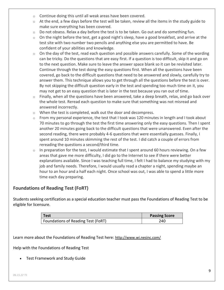- o Continue doing this until all weak areas have been covered.
- $\circ$  At the end, a few days before the test will be taken, review all the items in the study guide to make sure everything has been covered.
- $\circ$  Do not obsess. Relax a day before the test is to be taken. Go out and do something fun.
- $\circ$  On the night before the test, get a good night's sleep, have a good breakfast, and arrive at the test site with two number two pencils and anything else you are permitted to have. Be confident of your abilities and knowledge.
- $\circ$  On the day of the test, read each question and possible answers carefully. Some of the wording can be tricky. Do the questions that are easy first. If a question is too difficult, skip it and go on to the next question. Make sure to leave the answer space blank so it can be revisited later. Continue through the test doing the easy questions first. When all the questions have been covered, go back to the difficult questions that need to be answered and slowly, carefully try to answer them. This technique allows you to get through all the questions before the test is over. By not skipping the difficult question early in the test and spending too much time on it, you may not get to an easy question that is later in the test because you ran out of time.
- o Finally, when all the questions have been answered, take a deep breath, relax, and go back over the whole test. Reread each question to make sure that something was not misread and answered incorrectly.
- o When the test is completed, walk out the door and decompress.
- $\circ$  From my personal experience, the test that I took was 120 minutes in length and I took about 70 minutes to go through the test the first time answering only the easy questions. Then I spent another 20 minutes going back to the difficult questions that were unanswered. Even after the second reading, there were probably 4-6 questions that were essentially guesses. Finally, I spent around 10 minutes skimming the rest of the test. I did catch a couple of errors from rereading the questions a second/third time.
- $\circ$  In preparation for the test, I would estimate that I spent around 60 hours reviewing. On a few areas that gave me more difficulty, I did go to the Internet to see if there were better explanations available. Since I was teaching full time, I felt I had to balance my studying with my job and family needs. Therefore, I would usually read a chapter a night, spending maybe an hour to an hour and a half each night. Once school was out, I was able to spend a little more time each day preparing.

## **Foundations of Reading Test (FoRT)**

Students seeking certification as a special education teacher must pass the Foundations of Reading Test to be eligible for licensure.

| Test                                            | <b>Passing Score</b> |
|-------------------------------------------------|----------------------|
| <sup>1</sup> Foundations of Reading Test (FoRT) | 240                  |

Learn more about the Foundations of Reading Test here: <http://www.wi.nesinc.com/>

Help with the Foundations of Reading Test

• [Test Framework and Study Guide](http://www.wi.nesinc.com/TestView.aspx?f=HTML_FRAG/SA090_PrepMaterials.html)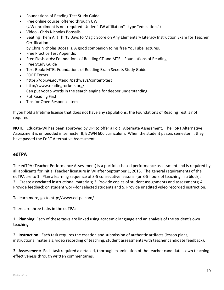- [Foundations of Reading Test Study Guide](https://www.educate-wi.com/uploads/content_files/files/FoundationsofReadingTestStudyGuide.pdf)
- [Free online course, offered through UW.](http://eop.education.wisc.edu/eop/professional-learning/courses/wisconsin-foundations-of-reading-test-review) (UW enrollment is not required. Under "UW affiliation" - type "education.")
- Video [Chris Nicholas Boosalis](http://www.youtube.com/user/chrisboosalis)
- [Beating Them All! Thirty Days to Magic Score on Any Elementary Literacy Instruction Exam for](http://www.amazon.com/Beating-Elementary-Literacy-Instruction-Certification/dp/0205394728/ref=pd_sim_b_5?ie=UTF8&refRID=1KG5MKKYXKBNCXWRJB19) Teacher **[Certification](http://www.amazon.com/Beating-Elementary-Literacy-Instruction-Certification/dp/0205394728/ref=pd_sim_b_5?ie=UTF8&refRID=1KG5MKKYXKBNCXWRJB19)** 
	- by Chris Nicholas Boosalis. A good companion to his free YouTube lectures.
- [Free Practice Test Appendix](https://www.educate-wi.com/uploads/content_files/files/FORT%20Practice%20Test%20Appendix.pdf)
- Free Flashcards: [Foundations of Reading CT](http://quizlet.com/11981907/foundations-of-reading-ct-flash-cards/) and [MTEL: Foundations of Reading](http://quizlet.com/15689192/mtel-foundations-of-reading-flash-cards/)
- [Free Study Guide](http://www.uwosh.edu/coehs/wi-test/documents/)
- Text Book: [MTEL Foundations of Reading Exam Secrets Study Guide](http://www.amazon.com/gp/product/1610720458/ref=s9_simh_gw_p14_d0_i6?pf_rd_m=ATVPDKIKX0DER&pf_rd_s=center-2&pf_rd_r=05Y68S1832ZXDTRFJ4Y6&pf_rd_t=101&pf_rd_p=1688200382&pf_rd_i=507846)
- [FORT Terms](https://www.educate-wi.com/uploads/content_files/files/FORTTerms.pdf)
- [https://dpi.wi.gov/tepdl/pathways/content-test](http://test.dpi.state.wi.us/wilearns/default.asp?ap=1)
- <http://www.readingrockets.org/> Can put vocab words in the search engine for deeper understanding.
- [Put Reading First](https://www.educate-wi.com/uploads/content_files/files/PutReadingFirst.pdf)
- [Tips for Open Response Items](https://www.educate-wi.com/uploads/content_files/files/TipsforOpenResponseItems.pdf)

If you hold a lifetime license that does not have any stipulations, the Foundations of Reading Test is not required.

**NOTE:** Educate-WI has been approved by DPI to offer a FoRT Alternate Assessment. The FoRT Alternative Assessment is embedded in semester II, EDWN 606 curriculum. When the student passes semester II, they have passed the FoRT Alternative Assessment.

#### **edTPA**

The edTPA (Teacher Performance Assessment) is a portfolio-based performance assessment and is required by all applicants for Initial Teacher licensure in WI after September 1, 2015. The general requirements of the edTPA are to 1. Plan a learning sequence of 3-5 consecutive lessons (or 3-5 hours of teaching in a block); 2. Create associated instructional materials; 3. Provide copies of student assignments and assessments; 4. Provide feedback on student work-for selected students and 5. Provide unedited video recorded instruction.

To learn more, go to<http://www.edtpa.com/>

There are three tasks in the edTPA:

1. **Planning:** Each of these tasks are linked using academic language and an analysis of the student's own teaching.

2. **Instruction:** Each task requires the creation and submission of authentic artifacts (lesson plans, instructional materials, video recording of teaching, student assessments with teacher candidate feedback).

3. **Assessment:** Each task required a detailed, thorough examination of the teacher candidate's own teaching effectiveness through written commentaries.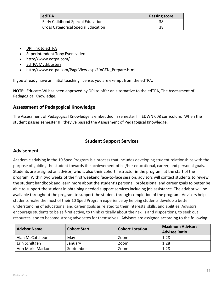| edTPA                                      | <b>Passing score</b> |
|--------------------------------------------|----------------------|
| <b>Early Childhood Special Education</b>   | 38                   |
| <b>Cross Categorical Special Education</b> | 38                   |

- [DPI link to edTPA](https://dpi.wi.gov/tepdl/epp/edtpa)
- [Superintendent Tony Evers video](http://youtu.be/lD4KuGIHwo4)
- <http://www.edtpa.com/>
- [EdTPA Mythbusters](https://www.educate-wi.com/uploads/content_files/files/edtpa-myth-busters.pdf)
- [http://www.edtpa.com/PageView.aspx?f=GEN\\_Prepare.html](http://www.edtpa.com/PageView.aspx?f=GEN_Prepare.html)

If you already have an initial teaching license, you are exempt from the edTPA.

**NOTE:** Educate-WI has been approved by DPI to offer an alternative to the edTPA, The Assessment of Pedagogical Knowledge.

## **Assessment of Pedagogical Knowledge**

The Assessment of Pedagogical Knowledge is embedded in semester III, EDWN 608 curriculum. When the student passes semester III, they've passed the Assessment of Pedagogical Knowledge.

## **Student Support Services**

## **Advisement**

Academic advising in the 10 Sped Program is a process that includes developing student relationships with the purpose of guiding the student towards the achievement of his/her educational, career, and personal goals. Students are assigned an advisor, who is also their cohort instructor in the program, at the start of the program. Within two weeks of the first weekend face-to-face session, advisors will contact students to review the student handbook and learn more about the student's personal, professional and career goals to better be able to support the student in obtaining needed support services including job assistance. The advisor will be available throughout the program to support the student through completion of the program. Advisors help students make the most of their 10 Sped Program experience by helping students develop a better understanding of educational and career goals as related to their interests, skills, and abilities. Advisors encourage students to be self-reflective, to think critically about their skills and dispositions, to seek out resources, and to become strong advocates for themselves. Advisors are assigned according to the following:

| <b>Advisor Name</b> | <b>Cohort Start</b> | <b>Cohort Location</b> | <b>Maximum Advisor:</b><br><b>Advisee Ratio</b> |
|---------------------|---------------------|------------------------|-------------------------------------------------|
| Alan McCutcheon     | May                 | Zoom                   | 1:28                                            |
| Erin Schiltgen      | January             | Zoom                   | 1:28                                            |
| Ann Marie Markon    | September           | Zoom                   | 1:28                                            |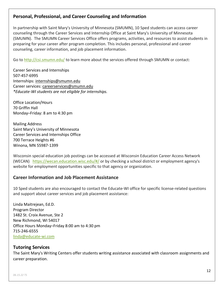## **Personal, Professional, and Career Counseling and Information**

In partnership with Saint Mary's University of Minnesota (SMUMN), 10 Sped students can access career counseling through the Career Services and Internship Office at Saint Mary's University of Minnesota (SMUMN). The SMUMN Career Services Office offers programs, activities, and resources to assist students in preparing for your career after program completion. This includes personal, professional and career counseling, career information, and job placement information.

Go to <http://csi.smumn.edu/> to learn more about the services offered through SMUMN or contact:

Career Services and Internships 507-457-6995 Internships: [internships@smumn.edu](mailto:internships@smumn.edu) Career services: [careerservices@smumn.edu](mailto:careerservices@smumn.edu) *\*Educate-WI students are not eligible for internships.*

Office Location/Hours 70 Griffin Hall Monday–Friday: 8 am to 4:30 pm

Mailing Address Saint Mary's University of Minnesota Career Services and Internships Office 700 Terrace Heights #6 Winona, MN 55987-1399

Wisconsin special education job postings can be accessed at Wisconsin Education Career Access Network (WECAN) <https://wecan.education.wisc.edu/#/> or by checking a school district or employment agency's website for employment opportunities specific to that agency or organization.

#### **Career Information and Job Placement Assistance**

10 Sped students are also encouraged to contact the Educate-WI office for specific license-related questions and support about career services and job placement assistance:

Linda Maitrejean, Ed.D. Program Director 1482 St. Croix Avenue, Ste 2 New Richmond, WI 54017 Office Hours Monday–Friday 8:00 am to 4:30 pm 715-246-6555 [linda@educate-wi.com](mailto:linda@educate-wi.com)

#### **Tutoring Services**

The Saint Mary's Writing Centers offer students writing assistance associated with classroom assignments and career preparation.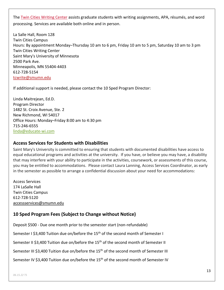The [Twin Cities Writing Center](http://tcwrite.smumn.edu/) assists graduate students with writing assignments, APA, résumés, and word processing. Services are available both online and in person.

La Salle Hall, Room 128 Twin Cities Campus Hours: By appointment Monday–Thursday 10 am to 6 pm, Friday 10 am to 5 pm, Saturday 10 am to 3 pm Twin Cities Writing Center Saint Mary's University of Minnesota 2500 Park Ave. Minneapolis, MN 55404-4403 612-728-5154 [tcwrite@smumn.edu](mailto:tcwrite@smumn.edu)

If additional support is needed, please contact the 10 Sped Program Director:

Linda Maitrejean, Ed.D. Program Director 1482 St. Croix Avenue, Ste. 2 New Richmond, WI 54017 Office Hours: Monday–Friday 8:00 am to 4:30 pm 715-246-6555 [linda@educate-wi.com](mailto:linda@educate-wi.com)

#### **Access Services for Students with Disabilities**

Saint Mary's University is committed to ensuring that students with documented disabilities have access to equal educational programs and activities at the university. If you have, or believe you may have, a disability that may interfere with your ability to participate in the activities, coursework, or assessments of this course, you may be entitled to accommodations. Please contact Laura Lanning, Access Services Coordinator, as early in the semester as possible to arrange a confidential discussion about your need for accommodations:

Access Services 174 LaSalle Hall Twin Cities Campus 612-728-5120 [accessservices@smumn.edu](mailto:llanning@smumn.edu)

## **10 Sped Program Fees (Subject to Change without Notice)**

Deposit \$500 - Due one month prior to the semester start (non-refundable)

Semester I \$3,400 Tuition due on/before the 15<sup>th</sup> of the second month of Semester I

Semester II \$3,400 Tuition due on/before the 15<sup>th</sup> of the second month of Semester II

Semester III \$3,400 Tuition due on/before the 15<sup>th</sup> of the second month of Semester III

Semester IV \$3,400 Tuition due on/before the 15<sup>th</sup> of the second month of Semester IV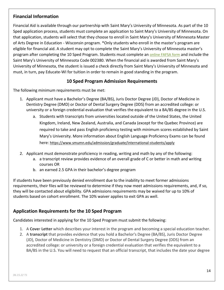## **Financial Information**

Financial Aid is available through our partnership with Saint Mary's University of Minnesota. As part of the 10 Sped application process, students must complete an application to Saint Mary's University of Minnesota. On that application, students will select that they choose to enroll in Saint Mary's University of Minnesota Master of Arts Degree in Education - Wisconsin program. \*Only students who enroll in the master's program are eligible for financial aid. A student may opt to complete the Saint Mary's University of Minnesota master's program after completing the 10 Sped Program. Students must complete an [online FAFSA form](http://www.fafsa.ed.gov/) and include the Saint Mary's University of Minnesota Code 002380. When the financial aid is awarded from Saint Mary's University of Minnesota, the student is issued a check directly from Saint Mary's University of Minnesota and must, in turn, pay Educate-WI for tuition in order to remain in good standing in the program.

## **10 Sped Program Admission Requirements**

The following minimum requirements must be met:

- 1. Applicant must have a Bachelor's Degree (BA/BS), Juris Doctor Degree (JD), Doctor of Medicine in Dentistry Degree (DMD) or Doctor of Dental Surgery Degree (DDS) from an accredited college: or university or a foreign credential evaluation that verifies the equivalent to a BA/BS degree in the U.S.
	- a. Students with transcripts from universities located outside of the United States, the United Kingdom, Ireland, New Zealand, Australia, and Canada (except for the Quebec Province) are required to take and pass English proficiency testing with minimum scores established by Saint Mary's University. More information about English Language Proficiency Exams can be found here: <https://www.smumn.edu/admission/graduate/international-students/apply>
- 2. Applicant must demonstrate proficiency in reading, writing and math by any of the following:
	- a. a transcript review provides evidence of an overall grade of C or better in math and writing courses OR
	- b. an earned 2.5 GPA in their bachelor's degree program

If students have been previously denied enrollment due to the inability to meet former admissions requirements, their files will be reviewed to determine if they now meet admissions requirements, and, if so, they will be contacted about eligibility. GPA admissions requirements may be waived for up to 10% of students based on cohort enrollment. The 10% waiver applies to exit GPA as well.

## **Application Requirements for the 10 Sped Program**

Candidates interested in applying for the 10 Sped Program must submit the following:

- 1. A **Cove**r **Letter** which describes your interest in the program and becoming a special education teacher.
- 2. A **transcript** that provides evidence that you hold a Bachelor's Degree (BA/BS), Juris Doctor Degree (JD), Doctor of Medicine in Dentistry (DMD) or Doctor of Dental Surgery Degree (DDS) from an accredited college: or university or a foreign credential evaluation that verifies the equivalent to a BA/BS in the U.S. You will need to request that an official transcript, that includes the date your degree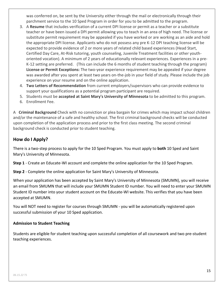was conferred on, be sent by the University either through the mail or electronically through their parchment service to the 10 Sped Program in order for you to be admitted to the program.

- 3. A **Resume** that includes verification of a current DPI license or permit as a teacher or a substitute teacher or have been issued a DPI permit allowing you to teach in an area of high need. The license or substitute permit requirement may be appealed if you have worked or are working as an aide and hold the appropriate DPI license. Applicants who do not possess any pre K-12 DPI teaching license will be expected to provide evidence of 2 or more years of related child based experiences (Head Start, Certified Day Care, At-Risk tutoring, youth counseling, Juvenile Treatment facilities or other youthoriented vocation). A minimum of 2 years of educationally relevant experiences. Experiences in a pre-K-12 setting are preferred. (This can include the 6 months of student teaching through the program) **License or Permit Exceptions:** The two-year experience requirement may be appealed if your degree was awarded after you spent at least two years on-the-job in your field of study. Please include the job experience on your resume and on the online application.
- 4. **Two Letters of Recommendation** from current employers/supervisors who can provide evidence to support your qualifications as a potential program participant are required.
- 5. Students must be **accepted at Saint Mary's University of Minnesota** to be admitted to this program.
- 6. Enrollment Fee.

A **Criminal Background** Check with no conviction or plea bargain for crimes which may impact school children and/or the maintenance of a safe and healthy school. The first criminal background checks will be conducted upon completion of the application process and prior to the first class meeting. The second criminal background check is conducted prior to student teaching.

## **How do I Apply?**

There is a two-step process to apply for the 10 Sped Program. You must apply to **both** 10 Sped and Saint Mary's University of Minnesota.

**Step 1** - Create an Educate-WI account and complete the online application for the 10 Sped Program.

**Step 2** - Complete the online application for Saint Mary's University of Minnesota.

When your application has been accepted by Saint Mary's University of Minnesota (SMUMN), you will receive an email from SMUMN that will include your SMUMN Student ID number. You will need to enter your SMUMN Student ID number into your student account on the Educate-WI website. This verifies that you have been accepted at SMUMN.

You will NOT need to register for courses through SMUMN - you will be automatically registered upon successful submission of your 10 Sped application.

#### **Admission to Student Teaching**

Students are eligible for student teaching upon successful completion of all coursework and two pre-student teaching experiences.